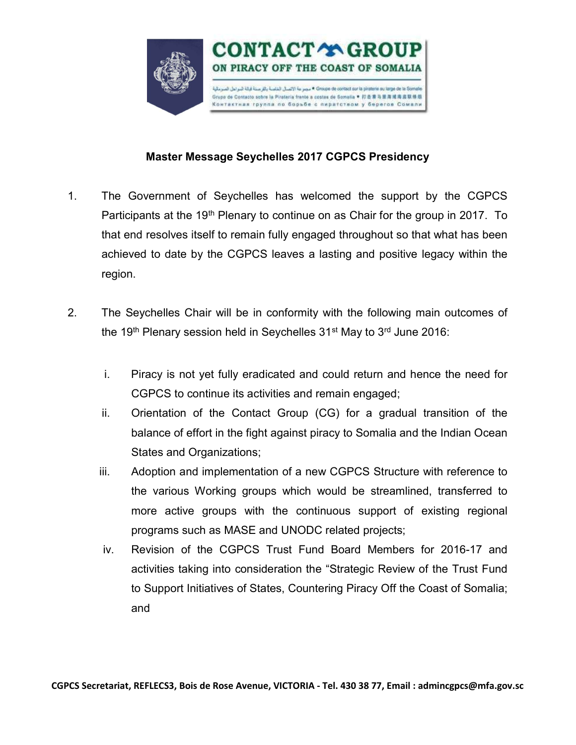

## Master Message Seychelles 2017 CGPCS Presidency

- 1. The Government of Seychelles has welcomed the support by the CGPCS Participants at the 19<sup>th</sup> Plenary to continue on as Chair for the group in 2017. To that end resolves itself to remain fully engaged throughout so that what has been achieved to date by the CGPCS leaves a lasting and positive legacy within the region.
- 2. The Seychelles Chair will be in conformity with the following main outcomes of the 19<sup>th</sup> Plenary session held in Seychelles  $31<sup>st</sup>$  May to  $3<sup>rd</sup>$  June 2016:
	- i. Piracy is not yet fully eradicated and could return and hence the need for CGPCS to continue its activities and remain engaged;
	- ii. Orientation of the Contact Group (CG) for a gradual transition of the balance of effort in the fight against piracy to Somalia and the Indian Ocean States and Organizations;
	- iii. Adoption and implementation of a new CGPCS Structure with reference to the various Working groups which would be streamlined, transferred to more active groups with the continuous support of existing regional programs such as MASE and UNODC related projects;
	- iv. Revision of the CGPCS Trust Fund Board Members for 2016-17 and activities taking into consideration the "Strategic Review of the Trust Fund to Support Initiatives of States, Countering Piracy Off the Coast of Somalia; and